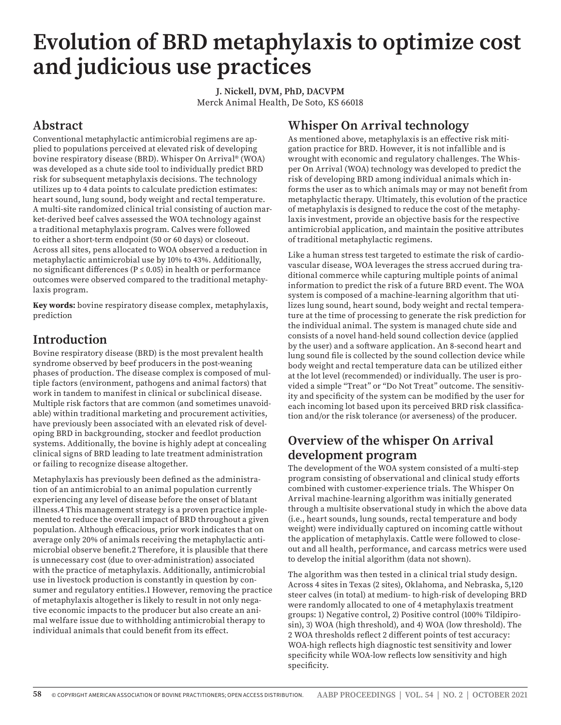# **Evolution of BRD metaphylaxis to optimize cost and judicious use practices**

**J. Nickell, DVM, PhD, DACVPM** Merck Animal Health, De Soto, KS 66018

## **Abstract**

Conventional metaphylactic antimicrobial regimens are applied to populations perceived at elevated risk of developing bovine respiratory disease (BRD). Whisper On Arrival® (WOA) was developed as a chute side tool to individually predict BRD risk for subsequent metaphylaxis decisions. The technology utilizes up to 4 data points to calculate prediction estimates: heart sound, lung sound, body weight and rectal temperature. A multi-site randomized clinical trial consisting of auction market-derived beef calves assessed the WOA technology against a traditional metaphylaxis program. Calves were followed to either a short-term endpoint (50 or 60 days) or closeout. Across all sites, pens allocated to WOA observed a reduction in metaphylactic antimicrobial use by 10% to 43%. Additionally, no significant differences ( $P \le 0.05$ ) in health or performance outcomes were observed compared to the traditional metaphylaxis program.

**Key words:** bovine respiratory disease complex, metaphylaxis, prediction

### **Introduction**

Bovine respiratory disease (BRD) is the most prevalent health syndrome observed by beef producers in the post-weaning phases of production. The disease complex is composed of multiple factors (environment, pathogens and animal factors) that work in tandem to manifest in clinical or subclinical disease. Multiple risk factors that are common (and sometimes unavoidable) within traditional marketing and procurement activities, have previously been associated with an elevated risk of developing BRD in backgrounding, stocker and feedlot production systems. Additionally, the bovine is highly adept at concealing clinical signs of BRD leading to late treatment administration or failing to recognize disease altogether.

Metaphylaxis has previously been defined as the administration of an antimicrobial to an animal population currently experiencing any level of disease before the onset of blatant illness.4 This management strategy is a proven practice implemented to reduce the overall impact of BRD throughout a given population. Although efficacious, prior work indicates that on average only 20% of animals receiving the metaphylactic antimicrobial observe benefit.2 Therefore, it is plausible that there is unnecessary cost (due to over-administration) associated with the practice of metaphylaxis. Additionally, antimicrobial use in livestock production is constantly in question by consumer and regulatory entities.1 However, removing the practice of metaphylaxis altogether is likely to result in not only negative economic impacts to the producer but also create an animal welfare issue due to withholding antimicrobial therapy to individual animals that could benefit from its effect.

## **Whisper On Arrival technology**

As mentioned above, metaphylaxis is an effective risk mitigation practice for BRD. However, it is not infallible and is wrought with economic and regulatory challenges. The Whisper On Arrival (WOA) technology was developed to predict the risk of developing BRD among individual animals which informs the user as to which animals may or may not benefit from metaphylactic therapy. Ultimately, this evolution of the practice of metaphylaxis is designed to reduce the cost of the metaphylaxis investment, provide an objective basis for the respective antimicrobial application, and maintain the positive attributes of traditional metaphylactic regimens.

Like a human stress test targeted to estimate the risk of cardiovascular disease, WOA leverages the stress accrued during traditional commerce while capturing multiple points of animal information to predict the risk of a future BRD event. The WOA system is composed of a machine-learning algorithm that utilizes lung sound, heart sound, body weight and rectal temperature at the time of processing to generate the risk prediction for the individual animal. The system is managed chute side and consists of a novel hand-held sound collection device (applied by the user) and a software application. An 8-second heart and lung sound file is collected by the sound collection device while body weight and rectal temperature data can be utilized either at the lot level (recommended) or individually. The user is provided a simple "Treat" or "Do Not Treat" outcome. The sensitivity and specificity of the system can be modified by the user for each incoming lot based upon its perceived BRD risk classification and/or the risk tolerance (or averseness) of the producer.

#### **Overview of the whisper On Arrival development program**

The development of the WOA system consisted of a multi-step program consisting of observational and clinical study efforts combined with customer-experience trials. The Whisper On Arrival machine-learning algorithm was initially generated through a multisite observational study in which the above data (i.e., heart sounds, lung sounds, rectal temperature and body weight) were individually captured on incoming cattle without the application of metaphylaxis. Cattle were followed to closeout and all health, performance, and carcass metrics were used to develop the initial algorithm (data not shown).

The algorithm was then tested in a clinical trial study design. Across 4 sites in Texas (2 sites), Oklahoma, and Nebraska, 5,120 steer calves (in total) at medium- to high-risk of developing BRD were randomly allocated to one of 4 metaphylaxis treatment groups: 1) Negative control, 2) Positive control (100% Tildipirosin), 3) WOA (high threshold), and 4) WOA (low threshold). The 2 WOA thresholds reflect 2 different points of test accuracy: WOA-high reflects high diagnostic test sensitivity and lower specificity while WOA-low reflects low sensitivity and high specificity.